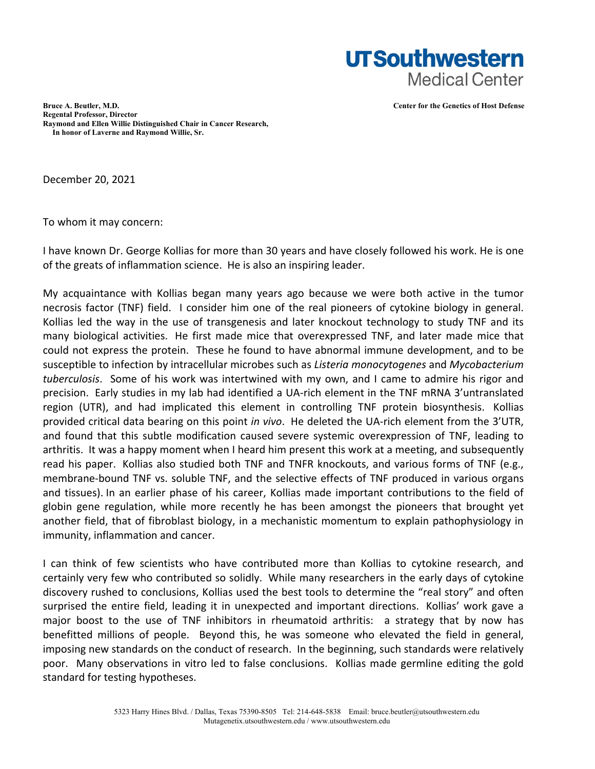

**Bruce A. Beutler, M.D. Center for the Genetics of Host Defense Regental Professor, Director Raymond and Ellen Willie Distinguished Chair in Cancer Research, In honor of Laverne and Raymond Willie, Sr.** 

December 20, 2021

To whom it may concern:

I have known Dr. George Kollias for more than 30 years and have closely followed his work. He is one of the greats of inflammation science. He is also an inspiring leader.

My acquaintance with Kollias began many years ago because we were both active in the tumor necrosis factor (TNF) field. I consider him one of the real pioneers of cytokine biology in general. Kollias led the way in the use of transgenesis and later knockout technology to study TNF and its many biological activities. He first made mice that overexpressed TNF, and later made mice that could not express the protein. These he found to have abnormal immune development, and to be susceptible to infection by intracellular microbes such as *Listeria monocytogenes* and *Mycobacterium tuberculosis*. Some of his work was intertwined with my own, and I came to admire his rigor and precision. Early studies in my lab had identified a UA-rich element in the TNF mRNA 3'untranslated region (UTR), and had implicated this element in controlling TNF protein biosynthesis. Kollias provided critical data bearing on this point *in vivo*. He deleted the UA-rich element from the 3'UTR, and found that this subtle modification caused severe systemic overexpression of TNF, leading to arthritis. It was a happy moment when I heard him present this work at a meeting, and subsequently read his paper. Kollias also studied both TNF and TNFR knockouts, and various forms of TNF (e.g., membrane-bound TNF vs. soluble TNF, and the selective effects of TNF produced in various organs and tissues). In an earlier phase of his career, Kollias made important contributions to the field of globin gene regulation, while more recently he has been amongst the pioneers that brought yet another field, that of fibroblast biology, in a mechanistic momentum to explain pathophysiology in immunity, inflammation and cancer.

I can think of few scientists who have contributed more than Kollias to cytokine research, and certainly very few who contributed so solidly. While many researchers in the early days of cytokine discovery rushed to conclusions, Kollias used the best tools to determine the "real story" and often surprised the entire field, leading it in unexpected and important directions. Kollias' work gave a major boost to the use of TNF inhibitors in rheumatoid arthritis: a strategy that by now has benefitted millions of people. Beyond this, he was someone who elevated the field in general, imposing new standards on the conduct of research. In the beginning, such standards were relatively poor. Many observations in vitro led to false conclusions. Kollias made germline editing the gold standard for testing hypotheses.